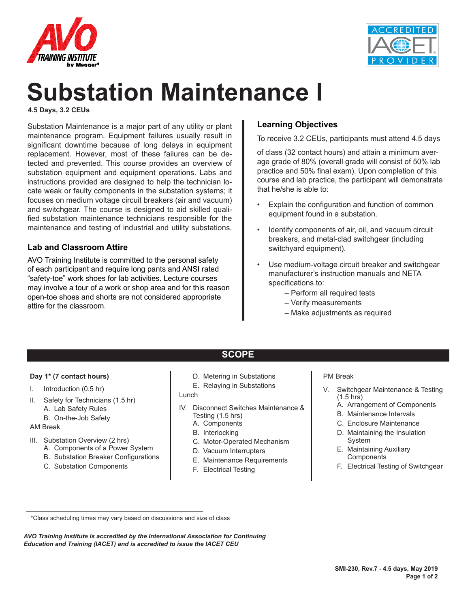



# **Substation Maintenance I**

**4.5 Days, 3.2 CEUs**

Substation Maintenance is a major part of any utility or plant maintenance program. Equipment failures usually result in significant downtime because of long delays in equipment replacement. However, most of these failures can be detected and prevented. This course provides an overview of substation equipment and equipment operations. Labs and instructions provided are designed to help the technician locate weak or faulty components in the substation systems; it focuses on medium voltage circuit breakers (air and vacuum) and switchgear. The course is designed to aid skilled qualified substation maintenance technicians responsible for the maintenance and testing of industrial and utility substations.

#### **Lab and Classroom Attire**

AVO Training Institute is committed to the personal safety of each participant and require long pants and ANSI rated "safety-toe" work shoes for lab activities. Lecture courses may involve a tour of a work or shop area and for this reason open-toe shoes and shorts are not considered appropriate attire for the classroom.

#### **Learning Objectives**

To receive 3.2 CEUs, participants must attend 4.5 days

of class (32 contact hours) and attain a minimum average grade of 80% (overall grade will consist of 50% lab practice and 50% final exam). Upon completion of this course and lab practice, the participant will demonstrate that he/she is able to:

- Explain the configuration and function of common equipment found in a substation.
- Identify components of air, oil, and vacuum circuit breakers, and metal-clad switchgear (including switchyard equipment).
- Use medium-voltage circuit breaker and switchgear manufacturer's instruction manuals and NETA specifications to:
	- Perform all required tests
	- Verify measurements
	- Make adjustments as required

## **SCOPE**

#### **Day 1\* (7 contact hours)**

- I. Introduction (0.5 hr)
- II. Safety for Technicians (1.5 hr)
	- A. Lab Safety Rules
	- B. On-the-Job Safety

#### AM Break

- III. Substation Overview (2 hrs)
	- A. Components of a Power System
	- B. Substation Breaker Configurations
	- C. Substation Components
- D. Metering in Substations
- E. Relaying in Substations

Lunch

- IV. Disconnect Switches Maintenance & Testing (1.5 hrs)
	- A. Components
	- B. Interlocking
	- C. Motor-Operated Mechanism
	- D. Vacuum Interrupters
	- E. Maintenance Requirements
	- F. Electrical Testing

#### PM Break

- V. Switchgear Maintenance & Testing (1.5 hrs)
	- A. Arrangement of Components
	- B. Maintenance Intervals
	- C. Enclosure Maintenance
	- D. Maintaining the Insulation System
	- E. Maintaining Auxiliary **Components**
	- F. Electrical Testing of Switchgear

*AVO Training Institute is accredited by the International Association for Continuing Education and Training (IACET) and is accredited to issue the IACET CEU*

 <sup>\*</sup>Class scheduling times may vary based on discussions and size of class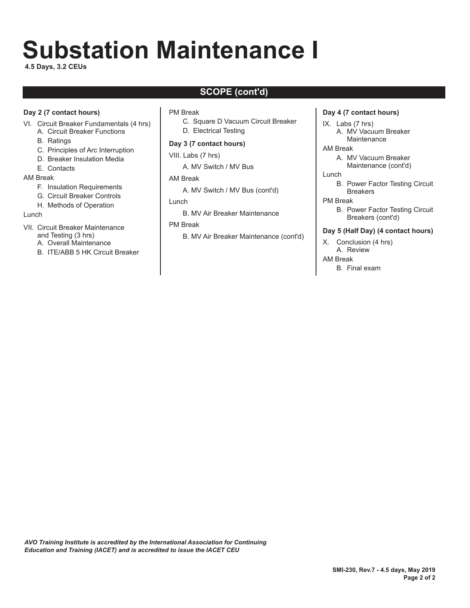# **Substation Maintenance I**

**4.5 Days, 3.2 CEUs**

## **SCOPE (cont'd)**

#### **Day 2 (7 contact hours)**

- VI. Circuit Breaker Fundamentals (4 hrs)
	- A. Circuit Breaker Functions
	- B. Ratings
	- C. Principles of Arc Interruption
	- D. Breaker Insulation Media
	- E. Contacts

#### AM Break

- F. Insulation Requirements
- G. Circuit Breaker Controls
- H. Methods of Operation

#### Lunch

- VII. Circuit Breaker Maintenance and Testing (3 hrs)
	- A. Overall Maintenance
	- B. ITE/ABB 5 HK Circuit Breaker

#### PM Break

- C. Square D Vacuum Circuit Breaker
- D. Electrical Testing

#### **Day 3 (7 contact hours)**

VIII. Labs (7 hrs)

A. MV Switch / MV Bus

#### AM Break

- A. MV Switch / MV Bus (cont'd)
- Lunch
	- B. MV Air Breaker Maintenance

#### PM Break

B. MV Air Breaker Maintenance (cont'd)

#### **Day 4 (7 contact hours)**

- IX. Labs (7 hrs)
	- A. MV Vacuum Breaker **Maintenance**
- AM Break
	- A. MV Vacuum Breaker Maintenance (cont'd)
- Lunch
	- B. Power Factor Testing Circuit **Breakers**
- PM Break
	- B. Power Factor Testing Circuit Breakers (cont'd)

#### **Day 5 (Half Day) (4 contact hours)**

- X. Conclusion (4 hrs) A. Review
- AM Break
	- B. Final exam

*AVO Training Institute is accredited by the International Association for Continuing Education and Training (IACET) and is accredited to issue the IACET CEU*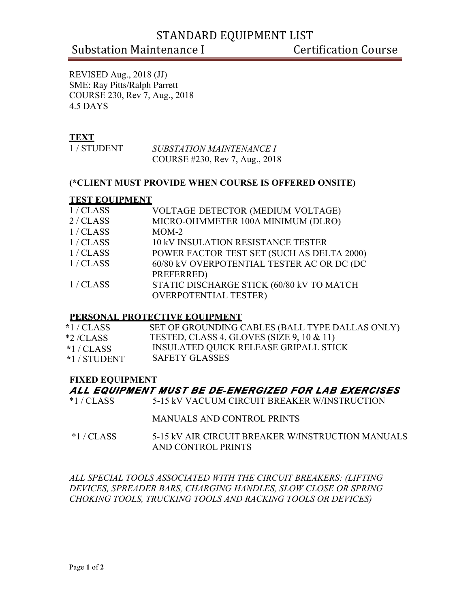# STANDARD EQUIPMENT LIST

# Substation Maintenance I Certification Course

REVISED Aug., 2018 (JJ) SME: Ray Pitts/Ralph Parrett COURSE 230, Rev 7, Aug., 2018 4.5 DAYS

#### **TEXT**

| 1/STUDENT | <b>SUBSTATION MAINTENANCE I</b> |
|-----------|---------------------------------|
|           | COURSE #230, Rev 7, Aug., 2018  |

#### **(\*CLIENT MUST PROVIDE WHEN COURSE IS OFFERED ONSITE)**

#### **TEST EQUIPMENT**

| 1/CLASS   | VOLTAGE DETECTOR (MEDIUM VOLTAGE)          |
|-----------|--------------------------------------------|
| 2 / CLASS | MICRO-OHMMETER 100A MINIMUM (DLRO)         |
| 1/CLASS   | $MOM-2$                                    |
| 1/CLAS    | <b>10 kV INSULATION RESISTANCE TESTER</b>  |
| 1/CLAS    | POWER FACTOR TEST SET (SUCH AS DELTA 2000) |
| 1/CLAS    | 60/80 kV OVERPOTENTIAL TESTER AC OR DC (DC |
|           | PREFERRED)                                 |
| 1/CLAS    | STATIC DISCHARGE STICK (60/80 kV TO MATCH  |
|           | <b>OVERPOTENTIAL TESTER)</b>               |
|           |                                            |

#### **PERSONAL PROTECTIVE EQUIPMENT**

| $*1/CLAS$    | SET OF GROUNDING CABLES (BALL TYPE DALLAS ONLY) |
|--------------|-------------------------------------------------|
| $*2$ /CLASS  | TESTED, CLASS 4, GLOVES (SIZE 9, 10 $\&$ 11)    |
| $*1$ / CLASS | INSULATED QUICK RELEASE GRIPALL STICK           |
| *1 / STUDENT | SAFETY GLASSES                                  |

#### **FIXED EQUIPMENT**

#### *ALL EQUIPMENT MUST BE DE-ENERGIZED FOR LAB EXERCISES*

\*1 / CLASS 5-15 kV VACUUM CIRCUIT BREAKER W/INSTRUCTION

#### MANUALS AND CONTROL PRINTS

\*1 / CLASS 5-15 kV AIR CIRCUIT BREAKER W/INSTRUCTION MANUALS AND CONTROL PRINTS

*ALL SPECIAL TOOLS ASSOCIATED WITH THE CIRCUIT BREAKERS: (LIFTING DEVICES, SPREADER BARS, CHARGING HANDLES, SLOW CLOSE OR SPRING CHOKING TOOLS, TRUCKING TOOLS AND RACKING TOOLS OR DEVICES)*